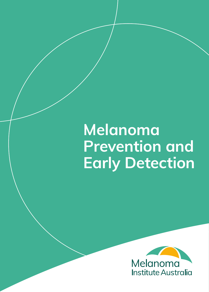## **Melanoma Prevention and Early Detection**

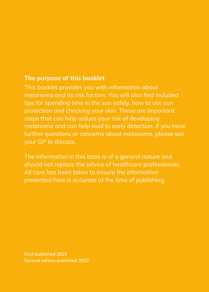### **The purpose of this booklet**

This booklet provides you with information about melanoma and its risk factors. You will also find included tips for spending time in the sun safely, how to use sun protection and checking your skin. These are important steps that can help reduce your risk of developing melanoma and can help lead to early detection. If you have further questions or concerns about melanoma, please see your GP to discuss.

The information in this book is of a general nature and should not replace the advice of healthcare professionals. All care has been taken to ensure the information presented here is accurate at the time of publishing.

**First published 2020 Second edition published 2022**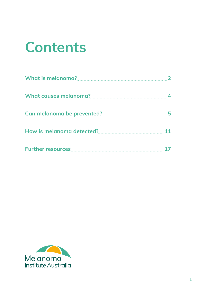## **Contents**

| What is melanoma?<br><u> What is melanoma?</u>                                                                                                                                                                                   |  |
|----------------------------------------------------------------------------------------------------------------------------------------------------------------------------------------------------------------------------------|--|
| What causes melanoma?<br><u> What causes melanoma?</u>                                                                                                                                                                           |  |
| Can melanoma be prevented? Can melanoma be prevented?                                                                                                                                                                            |  |
| How is melanoma detected?<br>Management of the metal and the metal of the metal and the metal and the metal of the metal and the metal and the metal of the metal of the metal and the metal of the metal of the metal of the me |  |
| Further resources                                                                                                                                                                                                                |  |

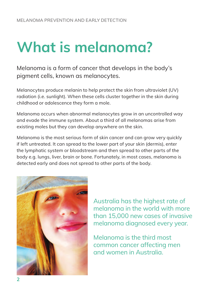# **What is melanoma?**

Melanoma is a form of cancer that develops in the body's pigment cells, known as melanocytes.

Melanocytes produce melanin to help protect the skin from ultraviolet (UV) radiation (i.e. sunlight). When these cells cluster together in the skin during childhood or adolescence they form a mole.

Melanoma occurs when abnormal melanocytes grow in an uncontrolled way and evade the immune system. About a third of all melanomas arise from existing moles but they can develop anywhere on the skin.

Melanoma is the most serious form of skin cancer and can grow very quickly if left untreated. It can spread to the lower part of your skin (dermis), enter the lymphatic system or bloodstream and then spread to other parts of the body e.g. lungs, liver, brain or bone. Fortunately, in most cases, melanoma is detected early and does not spread to other parts of the body.



Australia has the highest rate of melanoma in the world with more than 15,000 new cases of invasive melanoma diagnosed every year.

Melanoma is the third most common cancer affecting men and women in Australia.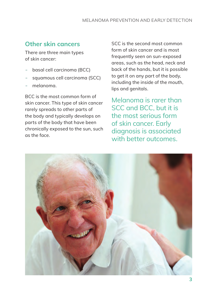## **Other skin cancers**

There are three main types of skin cancer:

- basal cell carcinoma (BCC)
- squamous cell carcinoma (SCC)
- melanoma.

BCC is the most common form of skin cancer. This type of skin cancer rarely spreads to other parts of the body and typically develops on parts of the body that have been chronically exposed to the sun, such as the face.

SCC is the second most common form of skin cancer and is most frequently seen on sun-exposed areas, such as the head, neck and back of the hands, but it is possible to get it on any part of the body, including the inside of the mouth, lips and genitals.

Melanoma is rarer than SCC and BCC, but it is the most serious form of skin cancer. Early diagnosis is associated with better outcomes.

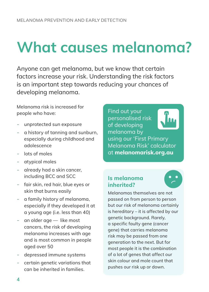# **What causes melanoma?**

Anyone can get melanoma, but we know that certain factors increase your risk. Understanding the risk factors is an important step towards reducing your chances of developing melanoma.

Melanoma risk is increased for people who have:

- unprotected sun exposure
- a history of tanning and sunburn, especially during childhood and adolescence
- lots of moles
- atypical moles
- already had a skin cancer, including BCC and SCC
- fair skin, red hair, blue eyes or skin that burns easily
- a family history of melanoma, especially if they developed it at a young age (i.e. less than 40)
- an older age  $-$  like most cancers, the risk of developing melanoma increases with age and is most common in people aged over 50
- depressed immune systems
- certain genetic variations that can be inherited in families.

Find out your personalised risk of developing melanoma by



using our 'First Primary Melanoma Risk' calculator at **melanomarisk.org.au**

## **Is melanoma inherited?**

Melanomas themselves are not passed on from person to person but our risk of melanoma certainly is hereditary – it is affected by our genetic background. Rarely, a specific faulty gene (cancer gene) that carries melanoma risk may be passed from one generation to the next. But for most people it is the combination of a lot of genes that affect our skin colour and mole count that pushes our risk up or down.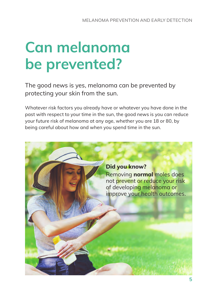## **Can melanoma be prevented?**

The good news is yes, melanoma can be prevented by protecting your skin from the sun.

Whatever risk factors you already have or whatever you have done in the past with respect to your time in the sun, the good news is you can reduce your future risk of melanoma at any age, whether you are 18 or 80, by being careful about how and when you spend time in the sun.

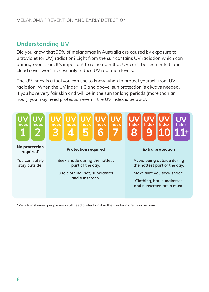#### MELANOMA PREVENTION AND EARLY DETECTION

## **Understanding UV**

Did you know that 95% of melanomas in Australia are caused by exposure to ultraviolet (or UV) radiation? Light from the sun contains UV radiation which can damage your skin. It's important to remember that UV can't be seen or felt, and cloud cover won't necessarily reduce UV radiation levels.

The UV index is a tool you can use to know when to protect yourself from UV radiation. When the UV index is 3 and above, sun protection is always needed. If you have very fair skin and will be in the sun for long periods (more than an hour), you may need protection even if the UV index is below 3.



\*Very fair skinned people may still need protection if in the sun for more than an hour.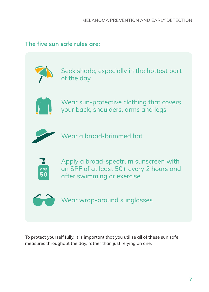## **The five sun safe rules are:**



Seek shade, especially in the hottest part of the day



Wear sun-protective clothing that covers your back, shoulders, arms and legs



Wear a broad-brimmed hat



Apply a broad-spectrum sunscreen with an SPF of at least 50+ every 2 hours and after swimming or exercise

Wear wrap-around sunglasses

To protect yourself fully, it is important that you utilise all of these sun safe measures throughout the day, rather than just relying on one.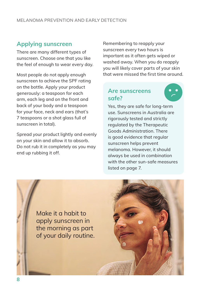## **Applying sunscreen**

There are many different types of sunscreen. Choose one that you like the feel of enough to wear every day.

Most people do not apply enough sunscreen to achieve the SPF rating on the bottle. Apply your product generously: a teaspoon for each arm, each leg and on the front and back of your body and a teaspoon for your face, neck and ears (that's 7 teaspoons or a shot glass full of sunscreen in total).

Spread your product lightly and evenly on your skin and allow it to absorb. Do not rub it in completely as you may end up rubbing it off.

Remembering to reapply your sunscreen every two hours is important as it often gets wiped or washed away. When you do reapply you will likely cover parts of your skin that were missed the first time around.

## **Are sunscreens safe?**



Yes, they are safe for long-term use. Sunscreens in Australia are rigorously tested and strictly regulated by the Therapeutic Goods Administration. There is good evidence that regular sunscreen helps prevent melanoma. However, it should always be used in combination with the other sun-safe measures listed on page 7.

Make it a habit to apply sunscreen in the morning as part of your daily routine.

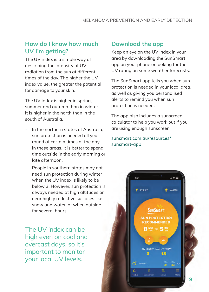## **How do I know how much UV I'm getting?**

The UV index is a simple way of describing the intensity of UV radiation from the sun at different times of the day. The higher the UV index value, the greater the potential for damage to your skin.

The UV index is higher in spring, summer and autumn than in winter. It is higher in the north than in the south of Australia.

- In the northern states of Australia, sun protection is needed all year round at certain times of the day. In these areas, it is better to spend time outside in the early morning or late afternoon.
- People in southern states may not need sun protection during winter when the UV index is likely to be below 3. However, sun protection is always needed at high altitudes or near highly reflective surfaces like snow and water, or when outside for several hours.

The UV index can be high even on cool and overcast days, so it's important to monitor your local UV levels.

## **Download the app**

Keep an eye on the UV index in your area by downloading the SunSmart app on your phone or looking for the UV rating on some weather forecasts.

The SunSmart app tells you when sun protection is needed in your local area, as well as giving you personalised alerts to remind you when sun protection is needed.

The app also includes a sunscreen calculator to help you work out if you are using enough sunscreen.

sunsmart.com.au/resources/ sunsmart-app

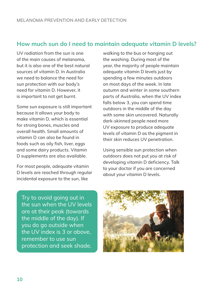## **How much sun do I need to maintain adequate vitamin D levels?**

UV radiation from the sun is one of the main causes of melanoma, but it is also one of the best natural sources of vitamin D. In Australia we need to balance the need for sun protection with our body's need for vitamin D. However, it is important to not get burnt.

Some sun exposure is still important because it allows your body to make vitamin D, which is essential for strong bones, muscles and overall health. Small amounts of vitamin D can also be found in foods such as oily fish, liver, eggs and some dairy products. Vitamin D supplements are also available.

For most people, adequate vitamin D levels are reached through regular incidental exposure to the sun, like

walking to the bus or hanging out the washing. During most of the year, the majority of people maintain adequate vitamin D levels just by spending a few minutes outdoors on most days of the week. In late autumn and winter in some southern parts of Australia, when the UV index falls below 3, you can spend time outdoors in the middle of the day with some skin uncovered. Naturally dark-skinned people need more UV exposure to produce adequate levels of vitamin D as the pigment in their skin reduces UV penetration.

Using sensible sun protection when outdoors does not put you at risk of developing vitamin D deficiency. Talk to your doctor if you are concerned about your vitamin D levels.

Try to avoid going out in the sun when the UV levels are at their peak (towards the middle of the day). If you do go outside when the UV index is 3 or above, remember to use sun protection and seek shade.

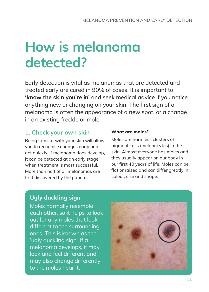## **How is melanoma detected?**

Early detection is vital as melanomas that are detected and treated early are cured in 90% of cases. It is important to **'know the skin you're in'** and seek medical advice if you notice anything new or changing on your skin. The first sign of a melanoma is often the appearance of a new spot, or a change in an existing freckle or mole.

## **1. Check your own skin**

Being familiar with your skin will allow you to recognise changes early and act quickly. If melanoma does develop, it can be detected at an early stage when treatment is most successful. More than half of all melanomas are first discovered by the patient.

#### **What are moles?**

Moles are harmless clusters of pigment cells (melanocytes) in the skin. Almost everyone has moles and they usually appear on our body in our first 40 years of life. Moles can be flat or raised and can differ greatly in colour, size and shape.

## **Ugly duckling sign**

Moles normally resemble each other, so it helps to look out for any moles that look different to the surrounding ones. This is known as the 'ugly duckling sign'. If a melanoma develops, it may look and feel different and may also change differently to the moles near it.

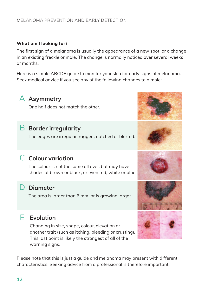#### MELANOMA PREVENTION AND EARLY DETECTION

#### **What am I looking for?**

The first sign of a melanoma is usually the appearance of a new spot, or a change in an existing freckle or mole. The change is normally noticed over several weeks or months.

Here is a simple ABCDE guide to monitor your skin for early signs of melanoma. Seek medical advice if you see any of the following changes to a mole:



## A **Asymmetry**

One half does not match the other.

## B **Border irregularity**

The edges are irregular, ragged, notched or blurred.

## C **Colour variation**

The colour is not the same all over, but may have shades of brown or black, or even red, white or blue.

## D **Diameter**

The area is larger than 6 mm, or is growing larger.

## E **Evolution**

Changing in size, shape, colour, elevation or another trait (such as itching, bleeding or crusting). This last point is likely the strongest of all of the warning signs.

Please note that this is just a guide and melanoma may present with different characteristics. Seeking advice from a professional is therefore important.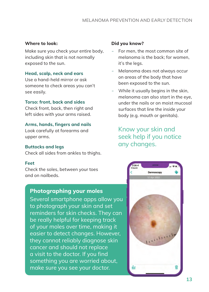#### **Where to look:**

Make sure you check your entire body, including skin that is not normally exposed to the sun.

#### **Head, scalp, neck and ears**

Use a hand-held mirror or ask someone to check areas you can't see easily.

#### **Torso: front, back and sides**

Check front, back, then right and left sides with your arms raised.

#### **Arms, hands, fingers and nails**

Look carefully at forearms and upper arms.

#### **Buttocks and legs**

Check all sides from ankles to thighs.

#### **Feet**

Check the soles, between your toes and on nailbeds.

### **Photographing your moles**

Several smartphone apps allow you to photograph your skin and set reminders for skin checks. They can be really helpful for keeping track of your moles over time, making it easier to detect changes. However, they cannot reliably diagnose skin cancer and should not replace a visit to the doctor. If you find something you are worried about, make sure you see your doctor.

#### **Did you know?**

- For men, the most common site of melanoma is the back; for women, it's the legs.
- Melanoma does not always occur on areas of the body that have been exposed to the sun.
- While it usually begins in the skin, melanoma can also start in the eye, under the nails or on moist mucosal surfaces that line the inside your body (e.g. mouth or genitals).

## Know your skin and seek help if you notice any changes.

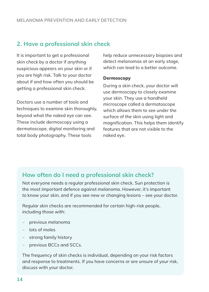## **2. Have a professional skin check**

It is important to get a professional skin check by a doctor if anything suspicious appears on your skin or if you are high risk. Talk to your doctor about if and how often you should be getting a professional skin check.

Doctors use a number of tools and techniques to examine skin thoroughly, beyond what the naked eye can see. These include dermoscopy using a dermatoscope, digital monitoring and total body photography. These tools

help reduce unnecessary biopsies and detect melanomas at an early stage, which can lead to a better outcome.

#### **Dermoscopy**

During a skin check, your doctor will use dermoscopy to closely examine your skin. They use a handheld microscope called a dermatoscope which allows them to see under the surface of the skin using light and magnification. This helps them identify features that are not visible to the naked eye.

### **How often do I need a professional skin check?**

Not everyone needs a regular professional skin check. Sun protection is the most important defence against melanoma. However, it's important to know your skin, and if you see new or changing lesions – see your doctor.

Regular skin checks are recommended for certain high-risk people, including those with:

- previous melanoma
- lots of moles
- strong family history
- previous BCCs and SCCs.

The frequency of skin checks is individual, depending on your risk factors and response to treatments. If you have concerns or are unsure of your risk, discuss with your doctor.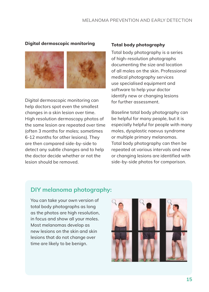#### MELANOMA PREVENTION AND EARLY DETECTION

#### **Digital dermoscopic monitoring**



Digital dermoscopic monitoring can help doctors spot even the smallest changes in a skin lesion over time. High resolution dermoscopy photos of the same lesion are repeated over time (often 3 months for moles; sometimes 6-12 months for other lesions). They are then compared side-by-side to detect any subtle changes and to help the doctor decide whether or not the lesion should be removed.

#### **Total body photography**

Total body photography is a series of high-resolution photographs documenting the size and location of all moles on the skin. Professional medical photography services use specialised equipment and software to help your doctor identify new or changing lesions for further assessment.

Baseline total body photography can be helpful for many people, but it is especially helpful for people with many moles, dysplastic naevus syndrome or multiple primary melanomas. Total body photography can then be repeated at various intervals and new or changing lesions are identified with side-by-side photos for comparison.

### **DIY melanoma photography:**

You can take your own version of total body photographs as long as the photos are high resolution, in focus and show all your moles. Most melanomas develop as new lesions on the skin and skin lesions that do not change over time are likely to be benign.

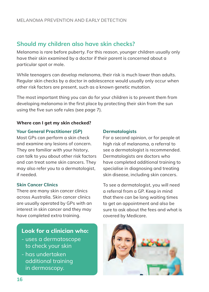## **Should my children also have skin checks?**

Melanoma is rare before puberty. For this reason, younger children usually only have their skin examined by a doctor if their parent is concerned about a particular spot or mole.

While teenagers can develop melanoma, their risk is much lower than adults. Regular skin checks by a doctor in adolescence would usually only occur when other risk factors are present, such as a known genetic mutation.

The most important thing you can do for your children is to prevent them from developing melanoma in the first place by protecting their skin from the sun using the five sun safe rules (see page 7).

#### **Where can I get my skin checked?**

#### **Your General Practitioner (GP)**

Most GPs can perform a skin check and examine any lesions of concern. They are familiar with your history, can talk to you about other risk factors and can treat some skin cancers. They may also refer you to a dermatologist, if needed.

#### **Skin Cancer Clinics**

There are many skin cancer clinics across Australia. Skin cancer clinics are usually operated by GPs with an interest in skin cancer and they may have completed extra training.

### **Look for a clinician who:**

- uses a dermatoscope to check your skin
- has undertaken additional training in dermoscopy.

#### **Dermatologists**

For a second opinion, or for people at high risk of melanoma, a referral to see a dermatologist is recommended. Dermatologists are doctors who have completed additional training to specialise in diagnosing and treating skin disease, including skin cancers.

To see a dermatologist, you will need a referral from a GP. Keep in mind that there can be long waiting times to get an appointment and also be sure to ask about the fees and what is covered by Medicare.

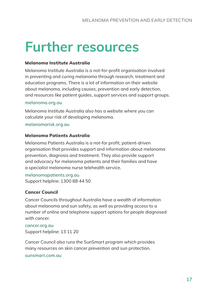## **Further resources**

#### **Melanoma Institute Australia**

Melanoma Institute Australia is a not-for-profit organisation involved in preventing and curing melanoma through research, treatment and education programs. There is a lot of information on their website about melanoma, including causes, prevention and early detection, and resources like patient guides, support services and support groups.

#### melanoma.org.au

Melanoma Institute Australia also has a website where you can calculate your risk of developing melanoma.

melanomarisk.org.au

#### **Melanoma Patients Australia**

Melanoma Patients Australia is a not-for profit, patient-driven organisation that provides support and information about melanoma prevention, diagnosis and treatment. They also provide support and advocacy for melanoma patients and their families and have a specialist melanoma nurse telehealth service.

melanomapatients.org.au Support helpline: 1300 88 44 50

#### **Cancer Council**

Cancer Councils throughout Australia have a wealth of information about melanoma and sun safety, as well as providing access to a number of online and telephone support options for people diagnosed with cancer.

cancer.org.au Support helpline: 13 11 20

Cancer Council also runs the SunSmart program which provides many resources on skin cancer prevention and sun protection.

sunsmart.com.au